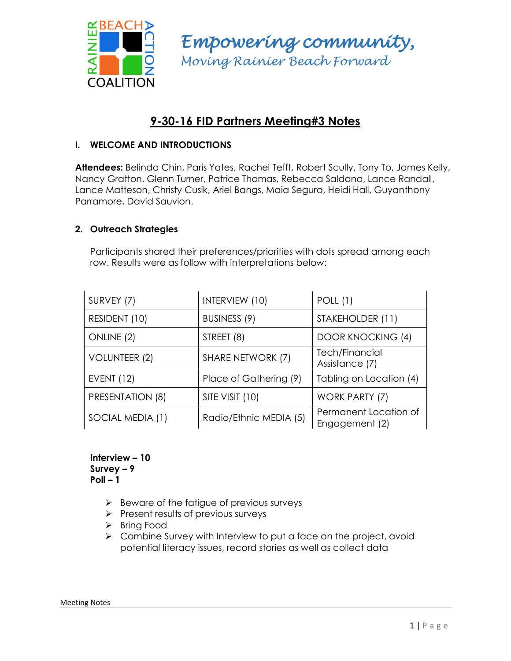

*Empowering community, Moving Rainier Beach Forward*

# **9-30-16 FID Partners Meeting#3 Notes**

# **I. WELCOME AND INTRODUCTIONS**

**Attendees:** Belinda Chin, Paris Yates, Rachel Tefft, Robert Scully, Tony To, James Kelly, Nancy Gratton, Glenn Turner, Patrice Thomas, Rebecca Saldana, Lance Randall, Lance Matteson, Christy Cusik, Ariel Bangs, Maia Segura, Heidi Hall, Guyanthony Parramore, David Sauvion.

# **2. Outreach Strategies**

Participants shared their preferences/priorities with dots spread among each row. Results were as follow with interpretations below:

| SURVEY (7)        | INTERVIEW (10)         | <b>POLL</b> (1)                         |
|-------------------|------------------------|-----------------------------------------|
| RESIDENT (10)     | BUSINESS (9)           | STAKEHOLDER (11)                        |
| ONLINE (2)        | STREET (8)             | <b>DOOR KNOCKING (4)</b>                |
| VOLUNTEER (2)     | SHARE NETWORK (7)      | Tech/Financial<br>Assistance (7)        |
| <b>EVENT (12)</b> | Place of Gathering (9) | Tabling on Location (4)                 |
| PRESENTATION (8)  | SITE VISIT (10)        | WORK PARTY (7)                          |
| SOCIAL MEDIA (1)  | Radio/Ethnic MEDIA (5) | Permanent Location of<br>Engagement (2) |

**Interview – 10 Survey – 9 Poll – 1**

- $\triangleright$  Beware of the fatigue of previous surveys
- $\triangleright$  Present results of previous surveys
- > Bring Food
- $\triangleright$  Combine Survey with Interview to put a face on the project, avoid potential literacy issues, record stories as well as collect data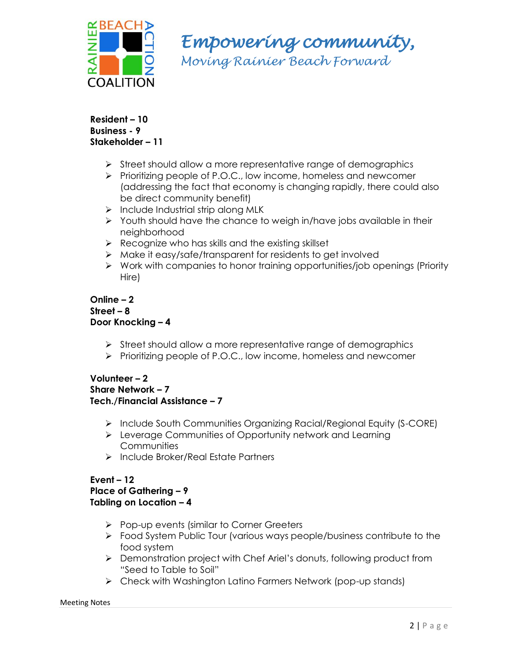

*Empowering community,* 

*Moving Rainier Beach Forward*

#### **Resident – 10 Business - 9 Stakeholder – 11**

- $\triangleright$  Street should allow a more representative range of demographics
- Prioritizing people of P.O.C., low income, homeless and newcomer (addressing the fact that economy is changing rapidly, there could also be direct community benefit)
- $\triangleright$  Include Industrial strip along MLK
- $\triangleright$  Youth should have the chance to weigh in/have jobs available in their neighborhood
- $\triangleright$  Recognize who has skills and the existing skillset
- Make it easy/safe/transparent for residents to get involved
- $\triangleright$  Work with companies to honor training opportunities/job openings (Priority Hire)

#### **Online – 2 Street – 8 Door Knocking – 4**

- $\triangleright$  Street should allow a more representative range of demographics
- Prioritizing people of P.O.C., low income, homeless and newcomer

## **Volunteer – 2 Share Network – 7 Tech./Financial Assistance – 7**

- $\triangleright$  Include South Communities Organizing Racial/Regional Equity (S-CORE)
- Leverage Communities of Opportunity network and Learning **Communities**
- Include Broker/Real Estate Partners

#### **Event – 12 Place of Gathering – 9 Tabling on Location – 4**

- $\triangleright$  Pop-up events (similar to Corner Greeters
- Food System Public Tour (various ways people/business contribute to the food system
- Demonstration project with Chef Ariel's donuts, following product from "Seed to Table to Soil"
- ► Check with Washington Latino Farmers Network (pop-up stands)

# Meeting Notes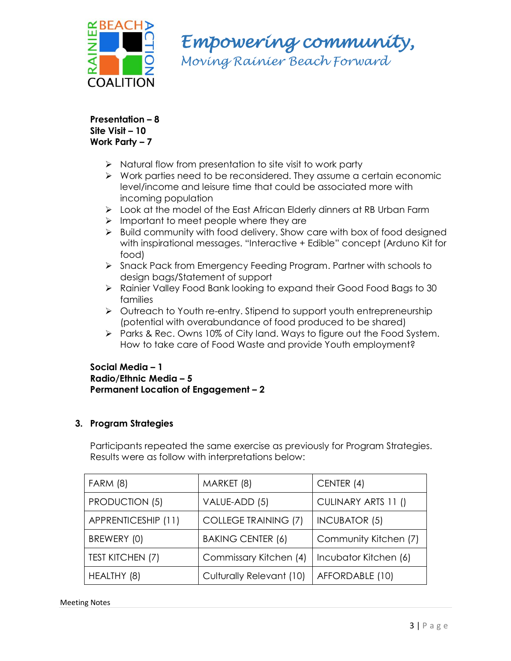

*Empowering community,* 

*Moving Rainier Beach Forward*

**Presentation – 8 Site Visit – 10 Work Party – 7**

- $\triangleright$  Natural flow from presentation to site visit to work party
- $\triangleright$  Work parties need to be reconsidered. They assume a certain economic level/income and leisure time that could be associated more with incoming population
- Look at the model of the East African Elderly dinners at RB Urban Farm
- $\triangleright$  Important to meet people where they are
- $\triangleright$  Build community with food delivery. Show care with box of food designed with inspirational messages. "Interactive + Edible" concept (Arduno Kit for food)
- Snack Pack from Emergency Feeding Program. Partner with schools to design bags/Statement of support
- Rainier Valley Food Bank looking to expand their Good Food Bags to 30 families
- Outreach to Youth re-entry. Stipend to support youth entrepreneurship (potential with overabundance of food produced to be shared)
- $\triangleright$  Parks & Rec. Owns 10% of City land. Ways to figure out the Food System. How to take care of Food Waste and provide Youth employment?

## **Social Media – 1 Radio/Ethnic Media – 5 Permanent Location of Engagement – 2**

# **3. Program Strategies**

Participants repeated the same exercise as previously for Program Strategies. Results were as follow with interpretations below:

| <b>FARM (8)</b>         | MARKET (8)                  | CENTER (4)            |
|-------------------------|-----------------------------|-----------------------|
| <b>PRODUCTION (5)</b>   | VALUE-ADD (5)               | CULINARY ARTS 11 ()   |
| APPRENTICESHIP (11)     | <b>COLLEGE TRAINING (7)</b> | <b>INCUBATOR (5)</b>  |
| BREWERY (0)             | <b>BAKING CENTER (6)</b>    | Community Kitchen (7) |
| <b>TEST KITCHEN (7)</b> | Commissary Kitchen (4)      | Incubator Kitchen (6) |
| HEALTHY (8)             | Culturally Relevant (10)    | AFFORDABLE (10)       |